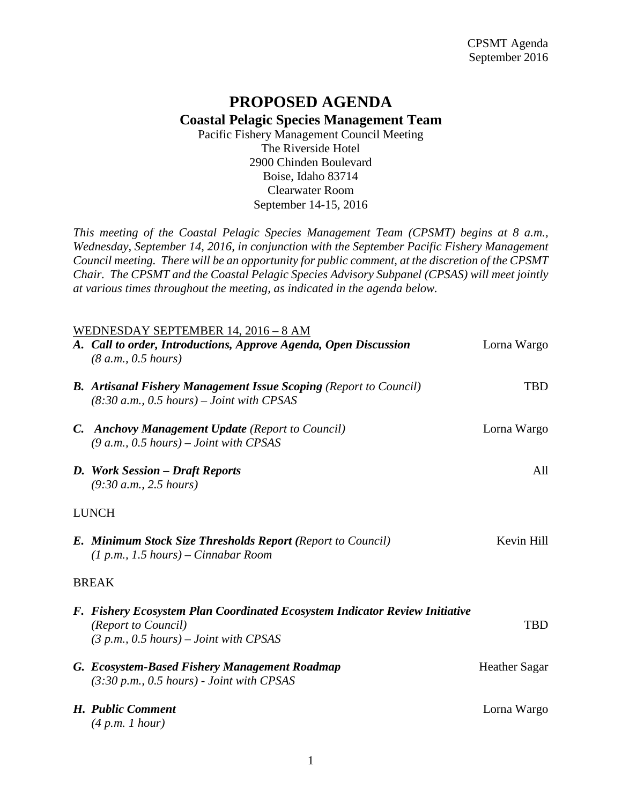## **PROPOSED AGENDA Coastal Pelagic Species Management Team**

Pacific Fishery Management Council Meeting The Riverside Hotel 2900 Chinden Boulevard Boise, Idaho 83714 Clearwater Room September 14-15, 2016

*This meeting of the Coastal Pelagic Species Management Team (CPSMT) begins at 8 a.m., Wednesday, September 14, 2016, in conjunction with the September Pacific Fishery Management Council meeting. There will be an opportunity for public comment, at the discretion of the CPSMT Chair. The CPSMT and the Coastal Pelagic Species Advisory Subpanel (CPSAS) will meet jointly at various times throughout the meeting, as indicated in the agenda below.*

| WEDNESDAY SEPTEMBER 14, 2016 – 8 AM |                                                                                                                                                |                      |  |
|-------------------------------------|------------------------------------------------------------------------------------------------------------------------------------------------|----------------------|--|
|                                     | A. Call to order, Introductions, Approve Agenda, Open Discussion<br>(8 a.m., 0.5 hours)                                                        | Lorna Wargo          |  |
|                                     | <b>B.</b> Artisanal Fishery Management Issue Scoping (Report to Council)<br>$(8:30 a.m., 0.5 hours) - Joint with CPSAS$                        | <b>TBD</b>           |  |
|                                     | <b>C.</b> Anchovy Management Update (Report to Council)<br>$(9 a.m., 0.5 hours) - Joint with CPSAS$                                            | Lorna Wargo          |  |
|                                     | D. Work Session - Draft Reports<br>(9:30 a.m., 2.5 hours)                                                                                      | All                  |  |
| <b>LUNCH</b>                        |                                                                                                                                                |                      |  |
|                                     | <b>E. Minimum Stock Size Thresholds Report (Report to Council)</b><br>$(1 p.m., 1.5 hours) - Cinnabar Room$                                    | Kevin Hill           |  |
| <b>BREAK</b>                        |                                                                                                                                                |                      |  |
|                                     | F. Fishery Ecosystem Plan Coordinated Ecosystem Indicator Review Initiative<br>(Report to Council)<br>$(3 p.m., 0.5 hours) - Joint with CPSAS$ | <b>TBD</b>           |  |
|                                     | G. Ecosystem-Based Fishery Management Roadmap<br>$(3:30 p.m., 0.5 hours)$ - Joint with CPSAS                                                   | <b>Heather Sagar</b> |  |
|                                     | H. Public Comment<br>(4 p.m. 1 hour)                                                                                                           | Lorna Wargo          |  |